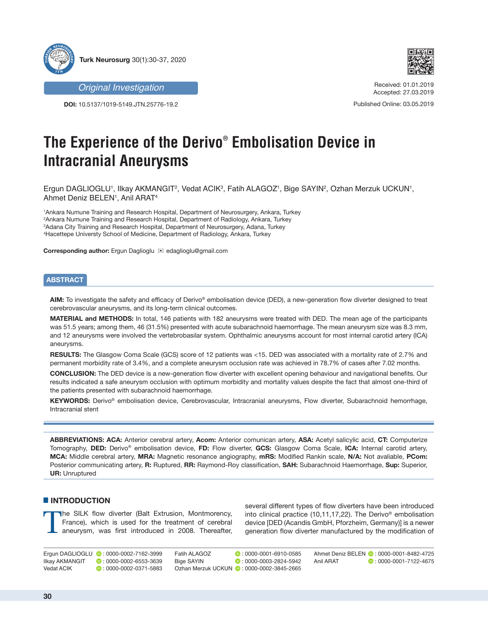

*Original Investigation*

**DOI:** 10.5137/1019-5149.JTN.25776-19.2



Received: 01.01.2019 Accepted: 27.03.2019

Published Online: 03.05.2019

# **The Experience of the Derivo® Embolisation Device in Intracranial Aneurysms**

Ergun DAGLIOGLU', Ilkay AKMANGIT<sup>2</sup>, Vedat ACIK<sup>3</sup>, Fatih ALAGOZ', Bige SAYIN<sup>2</sup>, Ozhan Merzuk UCKUN', Ahmet Deniz BELEN1, Anil ARAT<sup>4</sup>

 Ankara Numune Training and Research Hospital, Department of Neurosurgery, Ankara, Turkey Ankara Numune Training and Research Hospital, Department of Radiology, Ankara, Turkey Adana City Training and Research Hospital, Department of Neurosurgery, Adana, Turkey Hacettepe Universty School of Medicine, Department of Radiology, Ankara, Turkey

**Corresponding author:** Ergun Daglioglu <sup>≥</sup> edaglioglu@gmail.com

## **ABSTRACT**

**AIM:** To investigate the safety and efficacy of Derivo® embolisation device (DED), a new-generation flow diverter designed to treat cerebrovascular aneurysms, and its long-term clinical outcomes.

**MATERIAL and METHODS:** In total, 146 patients with 182 aneurysms were treated with DED. The mean age of the participants was 51.5 years; among them, 46 (31.5%) presented with acute subarachnoid haemorrhage. The mean aneurysm size was 8.3 mm, and 12 aneurysms were involved the vertebrobasilar system. Ophthalmic aneurysms account for most internal carotid artery (ICA) aneurysms.

**RESULTS:** The Glasgow Coma Scale (GCS) score of 12 patients was <15. DED was associated with a mortality rate of 2.7% and permanent morbidity rate of 3.4%, and a complete aneurysm occlusion rate was achieved in 78.7% of cases after 7.02 months.

**CONCLUSION:** The DED device is a new-generation flow diverter with excellent opening behaviour and navigational benefits. Our results indicated a safe aneurysm occlusion with optimum morbidity and mortality values despite the fact that almost one-third of the patients presented with subarachnoid haemorrhage.

**KEYWORDS:** Derivo® embolisation device, Cerebrovascular, Intracranial aneurysms, Flow diverter, Subarachnoid hemorrhage, Intracranial stent

**ABBREVIATIONS: ACA:** Anterior cerebral artery, **Acom:** Anterior comunican artery, **ASA:** Acetyl salicylic acid, **CT:** Computerize Tomography, **DED:** Derivo® embolisation device, **FD:** Flow diverter, **GCS:** Glasgow Coma Scale, **ICA:** Internal carotid artery, **MCA:** Middle cerebral artery, **MRA:** Magnetic resonance angiography, **mRS:** Modified Rankin scale, **N/A:** Not avaliable, **PCom:** Posterior communicating artery, **R:** Ruptured, **RR:** Raymond-Roy classification, **SAH:** Subarachnoid Haemorrhage, **Sup:** Superior, **UR:** Unruptured

### █ **INTRODUCTION**

The SILK flow diverter (Balt Extrusion, Montmorency, France), which is used for the treatment of cerebral aneurysm, was first introduced in 2008. Thereafter, several different types of flow diverters have been introduced into clinical practice (10,11,17,22). The Derivo® embolisation device [DED (Acandis GmbH, Pforzheim, Germany)] is a newer generation flow diverter manufactured by the modification of

Ergun DAGLIOGLU ( 0: 0000-0002-7162-3999<br>Ilkay AKMANGIT ( 0: 0000-0002-6553-3639  $\bullet$  : 0000-0002-6553-3639 Vedat ACIK **D**: 0000-0002-0371-5883 Fatih ALAGOZ : 0000-0001-6910-0585 Bige SAYIN **D**: 0000-0003-2824-5942 Ozhan Merzuk UCKUN ( : 0000-0002-3845-2665

Ahmet Deniz BELEN (D: 0000-0001-8482-4725<br>Anil ARAT (D: 0000-0001-7122-4675)  $\bullet$  : 0000-0001-7122-4675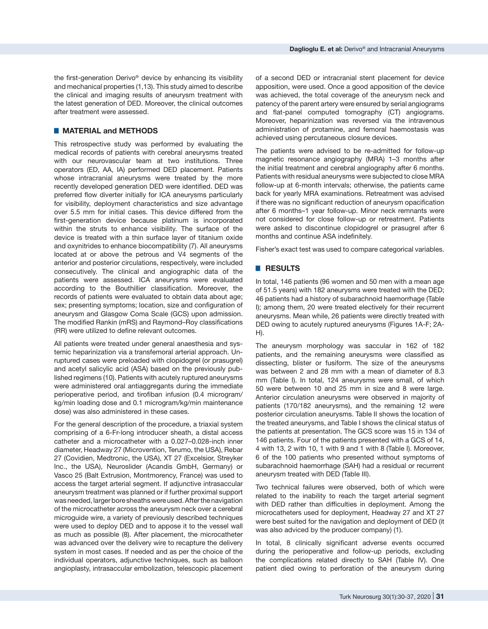the first-generation Derivo® device by enhancing its visibility and mechanical properties (1,13). This study aimed to describe the clinical and imaging results of aneurysm treatment with the latest generation of DED. Moreover, the clinical outcomes after treatment were assessed.

## █ **MATERIAL and METHODS**

This retrospective study was performed by evaluating the medical records of patients with cerebral aneurysms treated with our neurovascular team at two institutions. Three operators (ED, AA, IA) performed DED placement. Patients whose intracranial aneurysms were treated by the more recently developed generation DED were identified. DED was preferred flow diverter initially for ICA aneurysms particularly for visibility, deployment characteristics and size advantage over 5.5 mm for initial cases. This device differed from the first-generation device because platinum is incorporated within the struts to enhance visibility. The surface of the device is treated with a thin surface layer of titanium oxide and oxynitrides to enhance biocompatibility (7). All aneurysms located at or above the petrous and V4 segments of the anterior and posterior circulations, respectively, were included consecutively. The clinical and angiographic data of the patients were assessed. ICA aneurysms were evaluated according to the Bouthillier classification. Moreover, the records of patients were evaluated to obtain data about age; sex; presenting symptoms; location, size and configuration of aneurysm and Glasgow Coma Scale (GCS) upon admission. The modified Rankin (mRS) and Raymond–Roy classifications (RR) were utilized to define relevant outcomes.

All patients were treated under general anaesthesia and systemic heparinization via a transfemoral arterial approach. Unruptured cases were preloaded with clopidogrel (or prasugrel) and acetyl salicylic acid (ASA) based on the previously published regimens (10). Patients with acutely ruptured aneurysms were administered oral antiaggregants during the immediate perioperative period, and tirofiban infusion (0.4 microgram/ kg/min loading dose and 0.1 microgram/kg/min maintenance dose) was also administered in these cases.

For the general description of the procedure, a triaxial system comprising of a 6-Fr-long introducer sheath, a distal access catheter and a microcatheter with a 0.027–0.028-inch inner diameter, Headway 27 (Microvention, Terumo, the USA), Rebar 27 (Covidien, Medtronic, the USA), XT 27 (Excelsior, Streyker Inc., the USA), Neuroslider (Acandis GmbH, Germany) or Vasco 25 (Balt Extrusion, Montmorency, France) was used to access the target arterial segment. If adjunctive intrasaccular aneurysm treatment was planned or if further proximal support was needed, larger bore sheaths were used. After the navigation of the microcatheter across the aneurysm neck over a cerebral microguide wire, a variety of previously described techniques were used to deploy DED and to appose it to the vessel wall as much as possible (8). After placement, the microcatheter was advanced over the delivery wire to recapture the delivery system in most cases. If needed and as per the choice of the individual operators, adjunctive techniques, such as balloon angioplasty, intrasaccular embolization, telescopic placement

of a second DED or intracranial stent placement for device apposition, were used. Once a good apposition of the device was achieved, the total coverage of the aneurysm neck and patency of the parent artery were ensured by serial angiograms and flat-panel computed tomography (CT) angiograms. Moreover, heparinization was reversed via the intravenous administration of protamine, and femoral haemostasis was achieved using percutaneous closure devices.

The patients were advised to be re-admitted for follow-up magnetic resonance angiography (MRA) 1–3 months after the initial treatment and cerebral angiography after 6 months. Patients with residual aneurysms were subjected to close MRA follow-up at 6-month intervals; otherwise, the patients came back for yearly MRA examinations. Retreatment was advised if there was no significant reduction of aneurysm opacification after 6 months–1 year follow-up. Minor neck remnants were not considered for close follow-up or retreatment. Patients were asked to discontinue clopidogrel or prasugrel after 6 months and continue ASA indefinitely.

Fisher's exact test was used to compare categorical variables.

## █ **RESULTS**

In total, 146 patients (96 women and 50 men with a mean age of 51.5 years) with 182 aneurysms were treated with the DED; 46 patients had a history of subarachnoid haemorrhage (Table I); among them, 20 were treated electively for their recurrent aneurysms. Mean while, 26 patients were directly treated with DED owing to acutely ruptured aneurysms (Figures 1A-F; 2A-H).

The aneurysm morphology was saccular in 162 of 182 patients, and the remaining aneurysms were classified as dissecting, blister or fusiform. The size of the aneurysms was between 2 and 28 mm with a mean of diameter of 8.3 mm (Table I). In total, 124 aneurysms were small, of which 50 were between 10 and 25 mm in size and 8 were large. Anterior circulation aneurysms were observed in majority of patients (170/182 aneurysms), and the remaining 12 were posterior circulation aneurysms. Table II shows the location of the treated aneurysms, and Table I shows the clinical status of the patients at presentation. The GCS score was 15 in 134 of 146 patients. Four of the patients presented with a GCS of 14, 4 with 13, 2 with 10, 1 with 9 and 1 with 8 (Table I). Moreover, 6 of the 100 patients who presented without symptoms of subarachnoid haemorrhage (SAH) had a residual or recurrent aneurysm treated with DED (Table III).

Two technical failures were observed, both of which were related to the inability to reach the target arterial segment with DED rather than difficulties in deployment. Among the microcatheters used for deployment, Headway 27 and XT 27 were best suited for the navigation and deployment of DED (it was also adviced by the producer company) (1).

In total, 8 clinically significant adverse events occurred during the perioperative and follow-up periods, excluding the complications related directly to SAH (Table IV). One patient died owing to perforation of the aneurysm during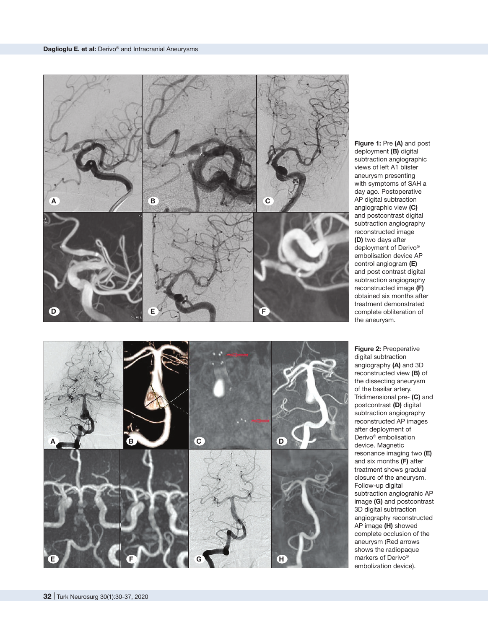

**Figure 1:** Pre **(A)** and post deployment **(B)** digital subtraction angiographic views of left A1 blister aneurysm presenting with symptoms of SAH a day ago. Postoperative AP digital subtraction angiographic view **(C)** and postcontrast digital subtraction angiography reconstructed image **(D)** two days after deployment of Derivo ® embolisation device AP control angiogram **(E)**  and post contrast digital subtraction angiography reconstructed image **(F)** obtained six months after treatment demonstrated complete obliteration of the aneurysm.



**Figure 2:** Preoperative digital subtraction angiography **(A)** and 3D reconstructed view **(B)** of the dissecting aneurysm of the basilar artery. Tridimensional pre- **(C)** and postcontrast **(D)** digital subtraction angiography reconstructed AP images after deployment of Derivo ® embolisation device. Magnetic resonance imaging two **(E)** and six months **(F)** after treatment shows gradual closure of the aneurysm. Follow-up digital subtraction angiograhic AP image **(G)** and postcontrast 3D digital subtraction angiography reconstructed AP image **(H)** showed complete occlusion of the aneurysm (Red arrows shows the radiopaque markers of Derivo ® embolization device).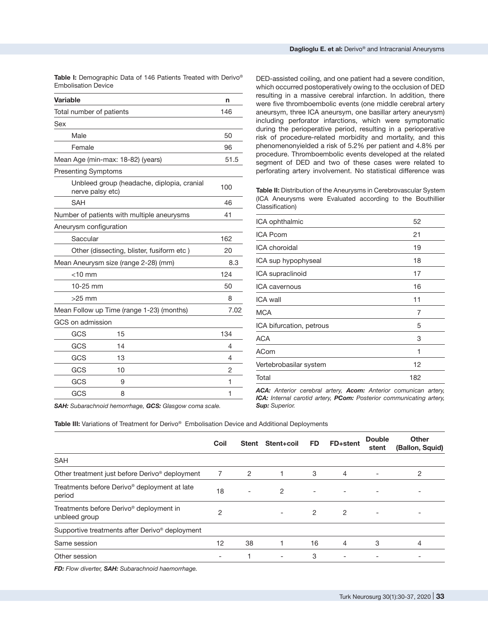Table I: Demographic Data of 146 Patients Treated with Derivo<sup>®</sup> Embolisation Device

| <b>Variable</b>                           |                                            | n   |  |  |  |  |
|-------------------------------------------|--------------------------------------------|-----|--|--|--|--|
| Total number of patients                  |                                            | 146 |  |  |  |  |
| Sex                                       |                                            |     |  |  |  |  |
| Male                                      |                                            | 50  |  |  |  |  |
| Female                                    |                                            | 96  |  |  |  |  |
| Mean Age (min-max: 18-82) (years)         | 51.5                                       |     |  |  |  |  |
| <b>Presenting Symptoms</b>                |                                            |     |  |  |  |  |
| nerve palsy etc)                          | Unbleed group (headache, diplopia, cranial | 100 |  |  |  |  |
| <b>SAH</b>                                |                                            | 46  |  |  |  |  |
|                                           | Number of patients with multiple aneurysms | 41  |  |  |  |  |
| Aneurysm configuration                    |                                            |     |  |  |  |  |
| Saccular                                  |                                            |     |  |  |  |  |
| Other (dissecting, blister, fusiform etc) | 20                                         |     |  |  |  |  |
| Mean Aneurysm size (range 2-28) (mm)      | 8.3                                        |     |  |  |  |  |
| $<$ 10 mm                                 |                                            | 124 |  |  |  |  |
| 10-25 mm                                  |                                            | 50  |  |  |  |  |
| $>25$ mm                                  |                                            | 8   |  |  |  |  |
| Mean Follow up Time (range 1-23) (months) | 7.02                                       |     |  |  |  |  |
| GCS on admission                          |                                            |     |  |  |  |  |
| GCS                                       | 15                                         | 134 |  |  |  |  |
| GCS                                       | 14                                         | 4   |  |  |  |  |
| GCS                                       | 13                                         | 4   |  |  |  |  |
| GCS                                       | 10                                         | 2   |  |  |  |  |
| GCS                                       | 9                                          | 1   |  |  |  |  |
| GCS                                       | 8                                          | 1   |  |  |  |  |

DED-assisted coiling, and one patient had a severe condition, which occurred postoperatively owing to the occlusion of DED resulting in a massive cerebral infarction. In addition, there were five thromboembolic events (one middle cerebral artery aneursym, three ICA aneursym, one basillar artery aneurysm) including perforator infarctions, which were symptomatic during the perioperative period, resulting in a perioperative risk of procedure-related morbidity and mortality, and this phenomenonyielded a risk of 5.2% per patient and 4.8% per procedure. Thromboembolic events developed at the related segment of DED and two of these cases were related to perforating artery involvement. No statistical difference was

Table II: Distribution of the Aneurysms in Cerebrovascular System (ICA Aneurysms were Evaluated according to the Bouthillier Classification)

| ICA ophthalmic           | 52  |
|--------------------------|-----|
| <b>ICA Pcom</b>          | 21  |
| ICA choroidal            | 19  |
| ICA sup hypophyseal      | 18  |
| ICA supraclinoid         | 17  |
| ICA cavernous            | 16  |
| ICA wall                 | 11  |
| <b>MCA</b>               | 7   |
| ICA bifurcation, petrous | 5   |
| ACA                      | 3   |
| <b>ACom</b>              | 1   |
| Vertebrobasilar system   | 12  |
| Total                    | 182 |

*ACA: Anterior cerebral artery, Acom: Anterior comunican artery, ICA: Internal carotid artery, PCom: Posterior communicating artery, Sup: Superior.*

*SAH: Subarachnoid hemorrhage, GCS: Glasgow coma scale.*

|                                                                      | Coil                     | Stent                    | Stent+coil               | <b>FD</b>                | FD+stent | <b>Double</b><br>stent   | Other<br>(Ballon, Squid) |
|----------------------------------------------------------------------|--------------------------|--------------------------|--------------------------|--------------------------|----------|--------------------------|--------------------------|
| <b>SAH</b>                                                           |                          |                          |                          |                          |          |                          |                          |
| Other treatment just before Derivo <sup>®</sup> deployment           |                          | 2                        |                          | 3                        | 4        | $\overline{\phantom{a}}$ | 2                        |
| Treatments before Derivo <sup>®</sup> deployment at late<br>period   | 18                       | $\overline{\phantom{a}}$ | $\overline{2}$           | $\overline{\phantom{a}}$ |          | $\overline{\phantom{a}}$ | $\overline{\phantom{0}}$ |
| Treatments before Derivo <sup>®</sup> deployment in<br>unbleed group | 2                        |                          | $\overline{\phantom{0}}$ | $\overline{2}$           | 2        | $\overline{\phantom{a}}$ |                          |
| Supportive treatments after Derivo <sup>®</sup> deployment           |                          |                          |                          |                          |          |                          |                          |
| Same session                                                         | 12                       | 38                       |                          | 16                       | 4        | 3                        | 4                        |
| Other session                                                        | $\overline{\phantom{a}}$ |                          | $\overline{\phantom{a}}$ | 3                        |          |                          |                          |
|                                                                      |                          |                          |                          |                          |          |                          |                          |

**Table III:** Variations of Treatment for Derivo® Embolisation Device and Additional Deployments

*FD: Flow diverter, SAH: Subarachnoid haemorrhage.*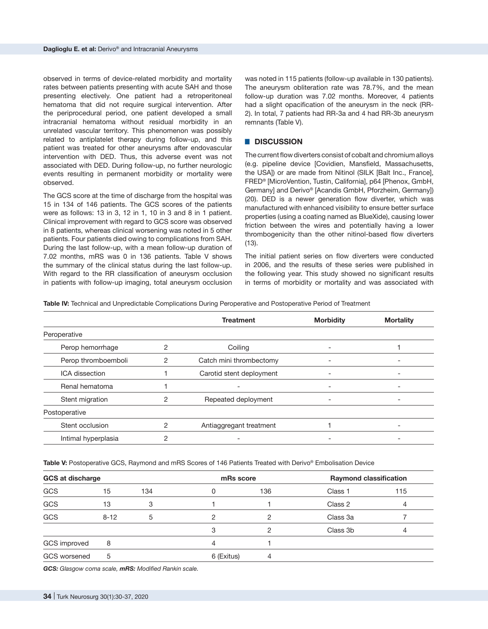observed in terms of device-related morbidity and mortality rates between patients presenting with acute SAH and those presenting electively. One patient had a retroperitoneal hematoma that did not require surgical intervention. After the periprocedural period, one patient developed a small intracranial hematoma without residual morbidity in an unrelated vascular territory. This phenomenon was possibly related to antiplatelet therapy during follow-up, and this patient was treated for other aneurysms after endovascular intervention with DED. Thus, this adverse event was not associated with DED. During follow-up, no further neurologic events resulting in permanent morbidity or mortality were observed.

The GCS score at the time of discharge from the hospital was 15 in 134 of 146 patients. The GCS scores of the patients were as follows: 13 in 3, 12 in 1, 10 in 3 and 8 in 1 patient. Clinical improvement with regard to GCS score was observed in 8 patients, whereas clinical worsening was noted in 5 other patients. Four patients died owing to complications from SAH. During the last follow-up, with a mean follow-up duration of 7.02 months, mRS was 0 in 136 patients. Table V shows the summary of the clinical status during the last follow-up. With regard to the RR classification of aneurysm occlusion in patients with follow-up imaging, total aneurysm occlusion was noted in 115 patients (follow-up available in 130 patients). The aneurysm obliteration rate was 78.7%, and the mean follow-up duration was 7.02 months. Moreover, 4 patients had a slight opacification of the aneurysm in the neck (RR-2). In total, 7 patients had RR-3a and 4 had RR-3b aneurysm remnants (Table V).

#### █ **DISCUSSION**

The current flow diverters consist of cobalt and chromium alloys (e.g. pipeline device [Covidien, Mansfield, Massachusetts, the USA]) or are made from Nitinol (SILK [Balt Inc., France], FRED® [MicroVention, Tustin, California], p64 [Phenox, GmbH, Germany] and Derivo® [Acandis GmbH, Pforzheim, Germany]) (20). DED is a newer generation flow diverter, which was manufactured with enhanced visibility to ensure better surface properties (using a coating named as BlueXide), causing lower friction between the wires and potentially having a lower thrombogenicity than the other nitinol-based flow diverters (13).

The initial patient series on flow diverters were conducted in 2006, and the results of these series were published in the following year. This study showed no significant results in terms of morbidity or mortality and was associated with

Table IV: Technical and Unpredictable Complications During Peroperative and Postoperative Period of Treatment

|                       | <b>Treatment</b> |                          | <b>Morbidity</b> | <b>Mortality</b> |  |
|-----------------------|------------------|--------------------------|------------------|------------------|--|
| Peroperative          |                  |                          |                  |                  |  |
| Perop hemorrhage      | っ                | Coiling                  |                  |                  |  |
| Perop thromboemboli   | 2                | Catch mini thrombectomy  |                  |                  |  |
| <b>ICA</b> dissection |                  | Carotid stent deployment |                  |                  |  |
| Renal hematoma        |                  |                          | -                |                  |  |
| Stent migration       | 2                | Repeated deployment      |                  |                  |  |
| Postoperative         |                  |                          |                  |                  |  |
| Stent occlusion       | 2                | Antiaggregant treatment  |                  |                  |  |
| Intimal hyperplasia   | っ                |                          |                  |                  |  |

Table V: Postoperative GCS, Raymond and mRS Scores of 146 Patients Treated with Derivo® Embolisation Device

| <b>GCS at discharge</b> |          | mRs score |            | <b>Raymond classification</b> |          |     |
|-------------------------|----------|-----------|------------|-------------------------------|----------|-----|
| GCS                     | 15       | 134       | 0          | 136                           | Class 1  | 115 |
| GCS                     | 13       | 3         |            |                               | Class 2  | 4   |
| GCS                     | $8 - 12$ | 5         | 2          |                               | Class 3a |     |
|                         |          |           | 3          |                               | Class 3b | 4   |
| GCS improved            | 8        |           | 4          |                               |          |     |
| <b>GCS</b> worsened     | 5        |           | 6 (Exitus) | 4                             |          |     |

*GCS: Glasgow coma scale, mRS: Modified Rankin scale.*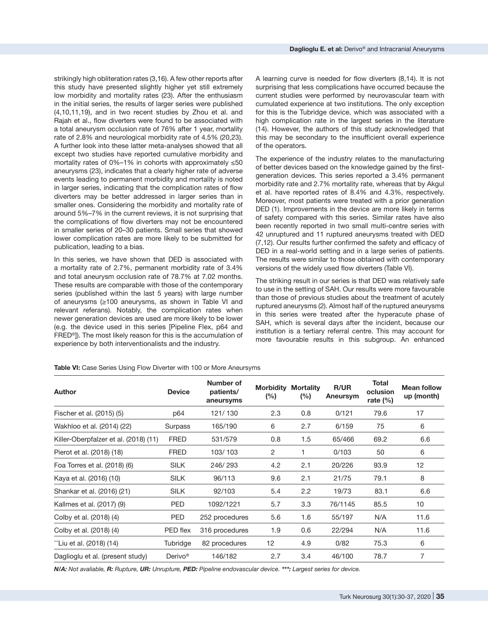strikingly high obliteration rates (3,16). A few other reports after this study have presented slightly higher yet still extremely low morbidity and mortality rates (23). After the enthusiasm in the initial series, the results of larger series were published (4,10,11,19), and in two recent studies by Zhou et al. and Rajah et al., flow diverters were found to be associated with a total aneurysm occlusion rate of 76% after 1 year, mortality rate of 2.8% and neurological morbidity rate of 4.5% (20,23). A further look into these latter meta-analyses showed that all except two studies have reported cumulative morbidity and mortality rates of 0%–1% in cohorts with approximately ≤50 aneurysms (23), indicates that a clearly higher rate of adverse events leading to permanent morbidity and mortality is noted in larger series, indicating that the complication rates of flow diverters may be better addressed in larger series than in smaller ones. Considering the morbidity and mortality rate of around 5%–7% in the current reviews, it is not surprising that the complications of flow diverters may not be encountered in smaller series of 20–30 patients. Small series that showed lower complication rates are more likely to be submitted for publication, leading to a bias.

In this series, we have shown that DED is associated with a mortality rate of 2.7%, permanent morbidity rate of 3.4% and total aneurysm occlusion rate of 78.7% at 7.02 months. These results are comparable with those of the contemporary series (published within the last 5 years) with large number of aneurysms (≥100 aneurysms, as shown in Table VI and relevant referans). Notably, the complication rates when newer generation devices are used are more likely to be lower (e.g. the device used in this series [Pipeline Flex, p64 and FRED®]). The most likely reason for this is the accumulation of experience by both interventionalists and the industry.

A learning curve is needed for flow diverters (8,14). It is not surprising that less complications have occurred because the current studies were performed by neurovascular team with cumulated experience at two institutions. The only exception for this is the Tubridge device, which was associated with a high complication rate in the largest series in the literature (14). However, the authors of this study acknowledged that this may be secondary to the insufficient overall experience of the operators.

The experience of the industry relates to the manufacturing of better devices based on the knowledge gained by the firstgeneration devices. This series reported a 3.4% permanent morbidity rate and 2.7% mortality rate, whereas that by Akgul et al. have reported rates of 8.4% and 4.3%, respectively. Moreover, most patients were treated with a prior generation DED (1). Improvements in the device are more likely in terms of safety compared with this series. Similar rates have also been recently reported in two small multi-centre series with 42 unruptured and 11 ruptured aneurysms treated with DED (7,12). Our results further confirmed the safety and efficacy of DED in a real-world setting and in a large series of patients. The results were similar to those obtained with contemporary versions of the widely used flow diverters (Table VI).

The striking result in our series is that DED was relatively safe to use in the setting of SAH. Our results were more favourable than those of previous studies about the treatment of acutely ruptured aneurysms (2). Almost half of the ruptured aneurysms in this series were treated after the hyperacute phase of SAH, which is several days after the incident, because our institution is a tertiary referral centre. This may account for more favourable results in this subgroup. An enhanced

**Table VI:** Case Series Using Flow Diverter with 100 or More Aneursyms

| <b>Author</b>                         | <b>Device</b>       | Number of<br>patients/<br>aneursyms | <b>Morbidity</b><br>(%) | <b>Mortality</b><br>$(\%)$ | R/UR<br>Aneursym | <b>Total</b><br>oclusion<br>rate $(\%)$ | <b>Mean follow</b><br>up (month) |
|---------------------------------------|---------------------|-------------------------------------|-------------------------|----------------------------|------------------|-----------------------------------------|----------------------------------|
| Fischer et al. (2015) (5)             | p64                 | 121/130                             | 2.3                     | 0.8                        | 0/121            | 79.6                                    | 17                               |
| Wakhloo et al. (2014) (22)            | Surpass             | 165/190                             | 6                       | 2.7                        | 6/159            | 75                                      | 6                                |
| Killer-Oberpfalzer et al. (2018) (11) | <b>FRED</b>         | 531/579                             | 0.8                     | 1.5                        | 65/466           | 69.2                                    | 6.6                              |
| Pierot et al. (2018) (18)             | <b>FRED</b>         | 103/103                             | $\overline{2}$          | 1                          | 0/103            | 50                                      | 6                                |
| Foa Torres et al. (2018) (6)          | <b>SILK</b>         | 246/293                             | 4.2                     | 2.1                        | 20/226           | 93.9                                    | 12                               |
| Kaya et al. (2016) (10)               | <b>SILK</b>         | 96/113                              | 9.6                     | 2.1                        | 21/75            | 79.1                                    | 8                                |
| Shankar et al. (2016) (21)            | <b>SILK</b>         | 92/103                              | 5.4                     | 2.2                        | 19/73            | 83.1                                    | 6.6                              |
| Kallmes et al. (2017) (9)             | <b>PED</b>          | 1092/1221                           | 5.7                     | 3.3                        | 76/1145          | 85.5                                    | 10 <sub>1</sub>                  |
| Colby et al. (2018) (4)               | <b>PED</b>          | 252 procedures                      | 5.6                     | 1.6                        | 55/197           | N/A                                     | 11.6                             |
| Colby et al. (2018) (4)               | PED flex            | 316 procedures                      | 1.9                     | 0.6                        | 22/294           | N/A                                     | 11.6                             |
| "Liu et al. (2018) (14)               | Tubridge            | 82 procedures                       | 12                      | 4.9                        | 0/82             | 75.3                                    | 6                                |
| Daglioglu et al. (present study)      | Derivo <sup>®</sup> | 146/182                             | 2.7                     | 3.4                        | 46/100           | 78.7                                    | 7                                |

*N/A: Not avaliable, R: Rupture, UR: Unrupture, PED: Pipeline endovascular device. \*\*\*: Largest series for device.*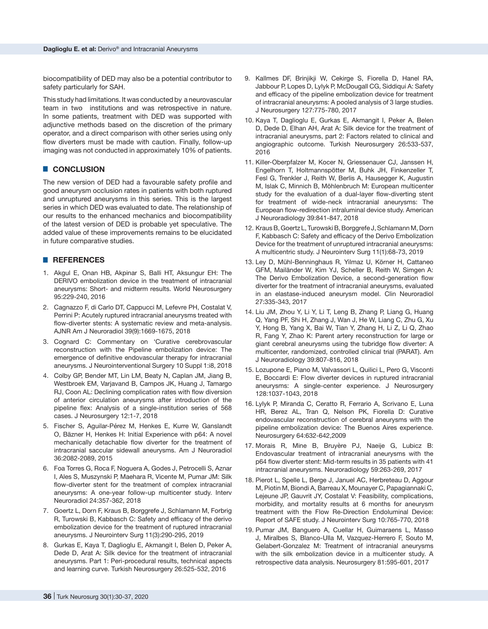biocompatibility of DED may also be a potential contributor to safety particularly for SAH.

This study had limitations. It was conducted by a neurovascular team in two institutions and was retrospective in nature. In some patients, treatment with DED was supported with adjunctive methods based on the discretion of the primary operator, and a direct comparison with other series using only flow diverters must be made with caution. Finally, follow-up imaging was not conducted in approximately 10% of patients.

## █ **CONCLUSION**

The new version of DED had a favourable safety profile and good aneurysm occlusion rates in patients with both ruptured and unruptured aneurysms in this series. This is the largest series in which DED was evaluated to date. The relationship of our results to the enhanced mechanics and biocompatibility of the latest version of DED is probable yet speculative. The added value of these improvements remains to be elucidated in future comparative studies.

#### █ **REFERENCES**

- 1. Akgul E, Onan HB, Akpinar S, Balli HT, Aksungur EH: The DERIVO embolization device in the treatment of intracranial aneurysms: Short- and midterm results. World Neurosurgery 95:229-240, 2016
- 2. Cagnazzo F, di Carlo DT, Cappucci M, Lefevre PH, Costalat V, Perrini P: Acutely ruptured intracranial aneurysms treated with flow-diverter stents: A systematic review and meta-analysis. AJNR Am J Neuroradiol 39(9):1669-1675, 2018
- 3. Cognard C: Commentary on 'Curative cerebrovascular reconstruction with the Pipeline embolization device: The emergence of definitive endovascular therapy for intracranial aneurysms. J Neurointerventional Surgery 10 Suppl 1:i8, 2018
- 4. Colby GP, Bender MT, Lin LM, Beaty N, Caplan JM, Jiang B, Westbroek EM, Varjavand B, Campos JK, Huang J, Tamargo RJ, Coon AL: Declining complication rates with flow diversion of anterior circulation aneurysms after introduction of the pipeline flex: Analysis of a single-institution series of 568 cases. J Neurosurgery 12:1-7, 2018
- 5. Fischer S, Aguilar-Pérez M, Henkes E, Kurre W, Ganslandt O, Bäzner H, Henkes H: Initial Experience with p64: A novel mechanically detachable flow diverter for the treatment of intracranial saccular sidewall aneurysms. Am J Neuroradiol 36:2082-2089, 2015
- 6. Foa Torres G, Roca F, Noguera A, Godes J, Petrocelli S, Aznar I, Ales S, Muszynski P, Maehara R, Vicente M, Pumar JM: Silk flow-diverter stent for the treatment of complex intracranial aneurysms: A one-year follow-up multicenter study. Interv Neuroradiol 24:357-362, 2018
- 7. Goertz L, Dorn F, Kraus B, Borggrefe J, Schlamann M, Forbrig R, Turowski B, Kabbasch C: Safety and efficacy of the derivo embolization device for the treatment of ruptured intracranial aneurysms. J Neurointerv Surg 11(3):290-295, 2019
- 8. Gurkas E, Kaya T, Daglioglu E, Akmangit I, Belen D, Peker A, Dede D, Arat A: Silk device for the treatment of intracranial aneurysms. Part 1: Peri-procedural results, technical aspects and learning curve. Turkish Neurosurgery 26:525-532, 2016
- 9. Kallmes DF, Brinjikji W, Cekirge S, Fiorella D, Hanel RA, Jabbour P, Lopes D, Lylyk P, McDougall CG, Siddiqui A: Safety and efficacy of the pipeline embolization device for treatment of intracranial aneurysms: A pooled analysis of 3 large studies. J Neurosurgery 127:775-780, 2017
- 10. Kaya T, Daglioglu E, Gurkas E, Akmangit I, Peker A, Belen D, Dede D, Elhan AH, Arat A: Silk device for the treatment of intracranial aneurysms, part 2: Factors related to clinical and angiographic outcome. Turkish Neurosurgery 26:533-537, 2016
- 11. Killer-Oberpfalzer M, Kocer N, Griessenauer CJ, Janssen H, Engelhorn T, Holtmannspötter M, Buhk JH, Finkenzeller T, Fesl G, Trenkler J, Reith W, Berlis A, Hausegger K, Augustin M, Islak C, Minnich B, Möhlenbruch M: European multicenter study for the evaluation of a dual-layer flow-diverting stent for treatment of wide-neck intracranial aneurysms: The European flow-redirection intraluminal device study. American J Neuroradiology 39:841-847, 2018
- 12. Kraus B, Goertz L, Turowski B, Borggrefe J, Schlamann M, Dorn F, Kabbasch C: Safety and efficacy of the Derivo Embolization Device for the treatment of unruptured intracranial aneurysms: A multicentric study. J Neurointerv Surg 11(1):68-73, 2019
- 13. Ley D, Mühl-Benninghaus R, Yilmaz U, Körner H, Cattaneo GFM, Mailänder W, Kim YJ, Scheller B, Reith W, Simgen A: The Derivo Embolization Device, a second-generation flow diverter for the treatment of intracranial aneurysms, evaluated in an elastase-induced aneurysm model. Clin Neuroradiol 27:335-343, 2017
- 14. Liu JM, Zhou Y, Li Y, Li T, Leng B, Zhang P, Liang G, Huang Q, Yang PF, Shi H, Zhang J, Wan J, He W, Liang C, Zhu G, Xu Y, Hong B, Yang X, Bai W, Tian Y, Zhang H, Li Z, Li Q, Zhao R, Fang Y, Zhao K: Parent artery reconstruction for large or giant cerebral aneurysms using the tubridge flow diverter: A multicenter, randomized, controlled clinical trial (PARAT). Am J Neuroradiology 39:807-816, 2018
- 15. Lozupone E, Piano M, Valvassori L, Quilici L, Pero G, Visconti E, Boccardi E: Flow diverter devices in ruptured intracranial aneurysms: A single-center experience. J Neurosurgery 128:1037-1043, 2018
- 16. Lylyk P, Miranda C, Ceratto R, Ferrario A, Scrivano E, Luna HR, Berez AL, Tran Q, Nelson PK, Fiorella D: Curative endovascular reconstruction of cerebral aneurysms with the pipeline embolization device: The Buenos Aires experience. Neurosurgery 64:632-642,2009
- 17. Morais R, Mine B, Bruyère PJ, Naeije G, Lubicz B: Endovascular treatment of intracranial aneurysms with the p64 flow diverter stent: Mid-term results in 35 patients with 41 intracranial aneurysms. Neuroradiology 59:263-269, 2017
- 18. Pierot L, Spelle L, Berge J, Januel AC, Herbreteau D, Aggour M, Piotin M, Biondi A, Barreau X, Mounayer C, Papagiannaki C, Lejeune JP, Gauvrit JY, Costalat V: Feasibility, complications, morbidity, and mortality results at 6 months for aneurysm treatment with the Flow Re-Direction Endoluminal Device: Report of SAFE study. J Neurointerv Surg 10:765-770, 2018
- 19. Pumar JM, Banguero A, Cuellar H, Guimaraens L, Masso J, Miralbes S, Blanco-Ulla M, Vazquez-Herrero F, Souto M, Gelabert-Gonzalez M: Treatment of intracranial aneurysms with the silk embolization device in a multicenter study. A retrospective data analysis. Neurosurgery 81:595-601, 2017